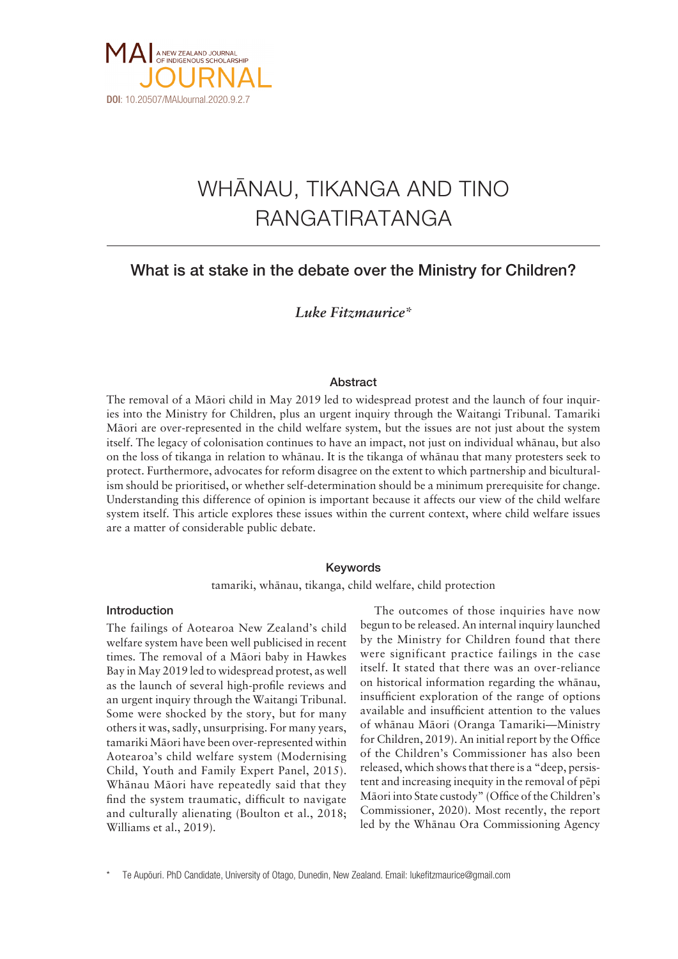

# WHÄNAU, TIKANGA AND TINO RANGATIRATANGA

# What is at stake in the debate over the Ministry for Children?

*Luke Fitzmaurice\**

# Abstract

The removal of a Mäori child in May 2019 led to widespread protest and the launch of four inquiries into the Ministry for Children, plus an urgent inquiry through the Waitangi Tribunal. Tamariki Mäori are over-represented in the child welfare system, but the issues are not just about the system itself. The legacy of colonisation continues to have an impact, not just on individual whänau, but also on the loss of tikanga in relation to whänau. It is the tikanga of whänau that many protesters seek to protect. Furthermore, advocates for reform disagree on the extent to which partnership and biculturalism should be prioritised, or whether self-determination should be a minimum prerequisite for change. Understanding this difference of opinion is important because it affects our view of the child welfare system itself. This article explores these issues within the current context, where child welfare issues are a matter of considerable public debate.

# Keywords

tamariki, whänau, tikanga, child welfare, child protection

# Introduction

The failings of Aotearoa New Zealand's child welfare system have been well publicised in recent times. The removal of a Mäori baby in Hawkes Bay in May 2019 led to widespread protest, as well as the launch of several high-profile reviews and an urgent inquiry through the Waitangi Tribunal. Some were shocked by the story, but for many others it was, sadly, unsurprising. For many years, tamariki Mäori have been over-represented within Aotearoa's child welfare system (Modernising Child, Youth and Family Expert Panel, 2015). Whänau Mäori have repeatedly said that they find the system traumatic, difficult to navigate and culturally alienating (Boulton et al., 2018; Williams et al., 2019).

The outcomes of those inquiries have now begun to be released. An internal inquiry launched by the Ministry for Children found that there were significant practice failings in the case itself. It stated that there was an over-reliance on historical information regarding the whänau, insufficient exploration of the range of options available and insufficient attention to the values of whänau Mäori (Oranga Tamariki—Ministry for Children, 2019). An initial report by the Office of the Children's Commissioner has also been released, which shows that there is a "deep, persistent and increasing inequity in the removal of pëpi Mäori into State custody" (Office of the Children's Commissioner, 2020). Most recently, the report led by the Whänau Ora Commissioning Agency

Te Aupöuri. PhD Candidate, University of Otago, Dunedin, New Zealand. Email: lukefitzmaurice@gmail.com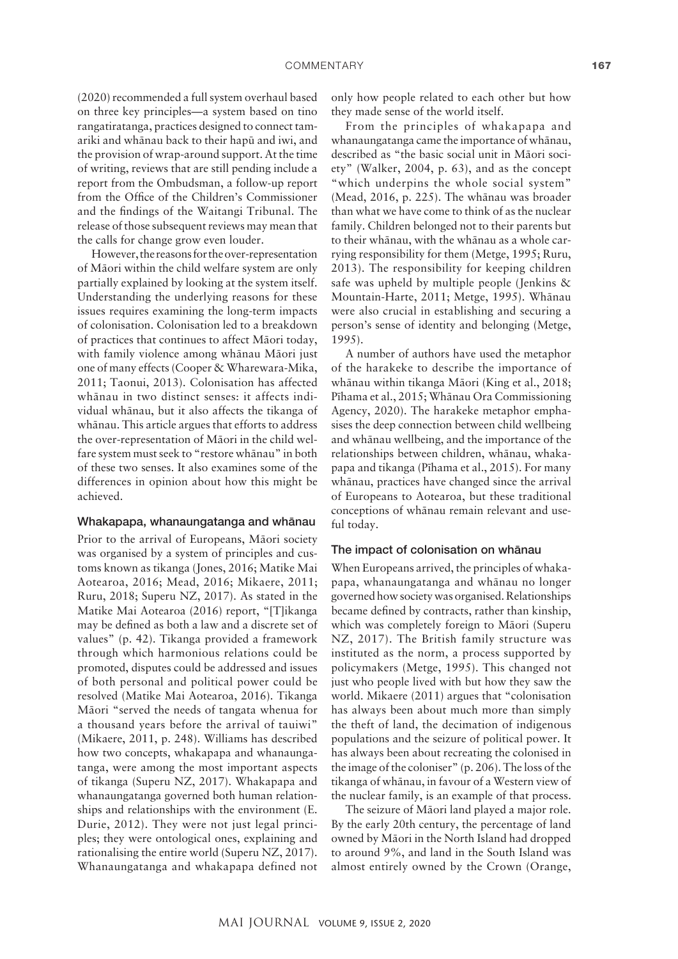(2020) recommended a full system overhaul based on three key principles—a system based on tino rangatiratanga, practices designed to connect tamariki and whänau back to their hapü and iwi, and the provision of wrap-around support. At the time of writing, reviews that are still pending include a report from the Ombudsman, a follow-up report from the Office of the Children's Commissioner and the findings of the Waitangi Tribunal. The release of those subsequent reviews may mean that the calls for change grow even louder.

However, the reasons for the over-representation of Mäori within the child welfare system are only partially explained by looking at the system itself. Understanding the underlying reasons for these issues requires examining the long-term impacts of colonisation. Colonisation led to a breakdown of practices that continues to affect Mäori today, with family violence among whänau Mäori just one of many effects (Cooper & Wharewara-Mika, 2011; Taonui, 2013). Colonisation has affected whänau in two distinct senses: it affects individual whänau, but it also affects the tikanga of whänau. This article argues that efforts to address the over-representation of Mäori in the child welfare system must seek to "restore whänau" in both of these two senses. It also examines some of the differences in opinion about how this might be achieved.

#### Whakapapa, whanaungatanga and whänau

Prior to the arrival of Europeans, Mäori society was organised by a system of principles and customs known as tikanga (Jones, 2016; Matike Mai Aotearoa, 2016; Mead, 2016; Mikaere, 2011; Ruru, 2018; Superu NZ, 2017). As stated in the Matike Mai Aotearoa (2016) report, "[T]ikanga may be defined as both a law and a discrete set of values" (p. 42). Tikanga provided a framework through which harmonious relations could be promoted, disputes could be addressed and issues of both personal and political power could be resolved (Matike Mai Aotearoa, 2016). Tikanga Mäori "served the needs of tangata whenua for a thousand years before the arrival of tauiwi" (Mikaere, 2011, p. 248). Williams has described how two concepts, whakapapa and whanaungatanga, were among the most important aspects of tikanga (Superu NZ, 2017). Whakapapa and whanaungatanga governed both human relationships and relationships with the environment (E. Durie, 2012). They were not just legal principles; they were ontological ones, explaining and rationalising the entire world (Superu NZ, 2017). Whanaungatanga and whakapapa defined not only how people related to each other but how they made sense of the world itself.

From the principles of whakapapa and whanaungatanga came the importance of whänau, described as "the basic social unit in Mäori society" (Walker, 2004, p. 63), and as the concept "which underpins the whole social system" (Mead, 2016, p. 225). The whänau was broader than what we have come to think of as the nuclear family. Children belonged not to their parents but to their whänau, with the whänau as a whole carrying responsibility for them (Metge, 1995; Ruru, 2013). The responsibility for keeping children safe was upheld by multiple people (Jenkins & Mountain-Harte, 2011; Metge, 1995). Whänau were also crucial in establishing and securing a person's sense of identity and belonging (Metge, 1995).

A number of authors have used the metaphor of the harakeke to describe the importance of whänau within tikanga Mäori (King et al., 2018; Pïhama et al., 2015; Whänau Ora Commissioning Agency, 2020). The harakeke metaphor emphasises the deep connection between child wellbeing and whänau wellbeing, and the importance of the relationships between children, whänau, whakapapa and tikanga (Pïhama et al., 2015). For many whänau, practices have changed since the arrival of Europeans to Aotearoa, but these traditional conceptions of whänau remain relevant and useful today.

#### The impact of colonisation on whänau

When Europeans arrived, the principles of whakapapa, whanaungatanga and whänau no longer governed how society was organised. Relationships became defined by contracts, rather than kinship, which was completely foreign to Mäori (Superu NZ, 2017). The British family structure was instituted as the norm, a process supported by policymakers (Metge, 1995). This changed not just who people lived with but how they saw the world. Mikaere (2011) argues that "colonisation has always been about much more than simply the theft of land, the decimation of indigenous populations and the seizure of political power. It has always been about recreating the colonised in the image of the coloniser" (p. 206). The loss of the tikanga of whänau, in favour of a Western view of the nuclear family, is an example of that process.

The seizure of Mäori land played a major role. By the early 20th century, the percentage of land owned by Mäori in the North Island had dropped to around 9%, and land in the South Island was almost entirely owned by the Crown (Orange,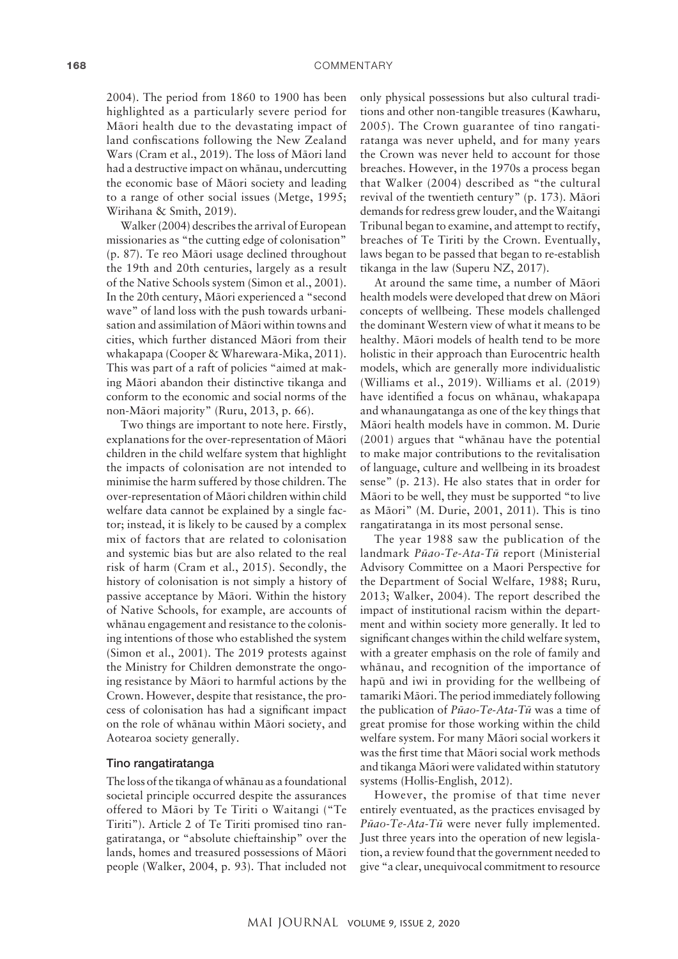#### 168 COMMENTARY

2004). The period from 1860 to 1900 has been highlighted as a particularly severe period for Mäori health due to the devastating impact of land confiscations following the New Zealand Wars (Cram et al., 2019). The loss of Mäori land had a destructive impact on whänau, undercutting the economic base of Mäori society and leading to a range of other social issues (Metge, 1995; Wirihana & Smith, 2019).

Walker (2004) describes the arrival of European missionaries as "the cutting edge of colonisation" (p. 87). Te reo Mäori usage declined throughout the 19th and 20th centuries, largely as a result of the Native Schools system (Simon et al., 2001). In the 20th century, Mäori experienced a "second wave" of land loss with the push towards urbanisation and assimilation of Mäori within towns and cities, which further distanced Mäori from their whakapapa (Cooper & Wharewara-Mika, 2011). This was part of a raft of policies "aimed at making Mäori abandon their distinctive tikanga and conform to the economic and social norms of the non-Mäori majority" (Ruru, 2013, p. 66).

Two things are important to note here. Firstly, explanations for the over-representation of Mäori children in the child welfare system that highlight the impacts of colonisation are not intended to minimise the harm suffered by those children. The over-representation of Mäori children within child welfare data cannot be explained by a single factor; instead, it is likely to be caused by a complex mix of factors that are related to colonisation and systemic bias but are also related to the real risk of harm (Cram et al., 2015). Secondly, the history of colonisation is not simply a history of passive acceptance by Mäori. Within the history of Native Schools, for example, are accounts of whänau engagement and resistance to the colonising intentions of those who established the system (Simon et al., 2001). The 2019 protests against the Ministry for Children demonstrate the ongoing resistance by Mäori to harmful actions by the Crown. However, despite that resistance, the process of colonisation has had a significant impact on the role of whänau within Mäori society, and Aotearoa society generally.

#### Tino rangatiratanga

The loss of the tikanga of whänau as a foundational societal principle occurred despite the assurances offered to Mäori by Te Tiriti o Waitangi ("Te Tiriti"). Article 2 of Te Tiriti promised tino rangatiratanga, or "absolute chieftainship" over the lands, homes and treasured possessions of Mäori people (Walker, 2004, p. 93). That included not

only physical possessions but also cultural traditions and other non-tangible treasures (Kawharu, 2005). The Crown guarantee of tino rangatiratanga was never upheld, and for many years the Crown was never held to account for those breaches. However, in the 1970s a process began that Walker (2004) described as "the cultural revival of the twentieth century" (p. 173). Mäori demands for redress grew louder, and the Waitangi Tribunal began to examine, and attempt to rectify, breaches of Te Tiriti by the Crown. Eventually, laws began to be passed that began to re-establish tikanga in the law (Superu NZ, 2017).

At around the same time, a number of Mäori health models were developed that drew on Mäori concepts of wellbeing. These models challenged the dominant Western view of what it means to be healthy. Mäori models of health tend to be more holistic in their approach than Eurocentric health models, which are generally more individualistic (Williams et al., 2019). Williams et al. (2019) have identified a focus on whänau, whakapapa and whanaungatanga as one of the key things that Mäori health models have in common. M. Durie (2001) argues that "whänau have the potential to make major contributions to the revitalisation of language, culture and wellbeing in its broadest sense" (p. 213). He also states that in order for Mäori to be well, they must be supported "to live as Mäori" (M. Durie, 2001, 2011). This is tino rangatiratanga in its most personal sense.

The year 1988 saw the publication of the landmark *Püao-Te-Ata-Tü* report (Ministerial Advisory Committee on a Maori Perspective for the Department of Social Welfare, 1988; Ruru, 2013; Walker, 2004). The report described the impact of institutional racism within the department and within society more generally. It led to significant changes within the child welfare system, with a greater emphasis on the role of family and whänau, and recognition of the importance of hapü and iwi in providing for the wellbeing of tamariki Mäori. The period immediately following the publication of *Püao-Te-Ata-Tü* was a time of great promise for those working within the child welfare system. For many Mäori social workers it was the first time that Mäori social work methods and tikanga Mäori were validated within statutory systems (Hollis-English, 2012).

However, the promise of that time never entirely eventuated, as the practices envisaged by *Püao-Te-Ata-Tü* were never fully implemented. Just three years into the operation of new legislation, a review found that the government needed to give "a clear, unequivocal commitment to resource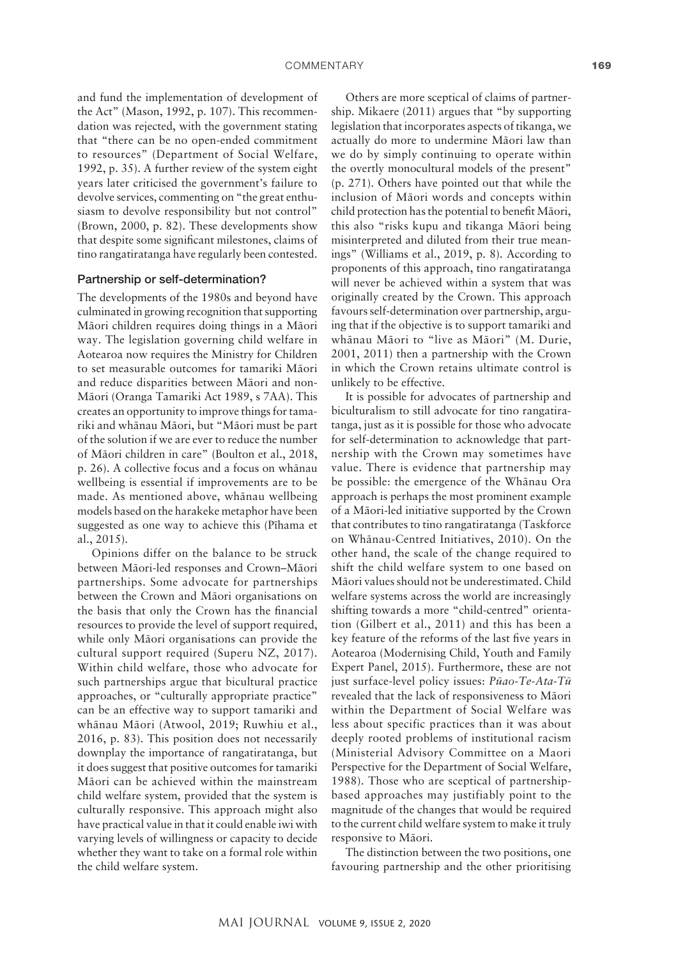and fund the implementation of development of the Act" (Mason, 1992, p. 107). This recommendation was rejected, with the government stating that "there can be no open-ended commitment to resources" (Department of Social Welfare, 1992, p. 35). A further review of the system eight years later criticised the government's failure to devolve services, commenting on "the great enthusiasm to devolve responsibility but not control" (Brown, 2000, p. 82). These developments show that despite some significant milestones, claims of tino rangatiratanga have regularly been contested.

# Partnership or self-determination?

The developments of the 1980s and beyond have culminated in growing recognition that supporting Mäori children requires doing things in a Mäori way. The legislation governing child welfare in Aotearoa now requires the Ministry for Children to set measurable outcomes for tamariki Mäori and reduce disparities between Mäori and non-Mäori (Oranga Tamariki Act 1989, s 7AA). This creates an opportunity to improve things for tamariki and whänau Mäori, but "Mäori must be part of the solution if we are ever to reduce the number of Mäori children in care" (Boulton et al., 2018, p. 26). A collective focus and a focus on whänau wellbeing is essential if improvements are to be made. As mentioned above, whänau wellbeing models based on the harakeke metaphor have been suggested as one way to achieve this (Pïhama et al., 2015).

Opinions differ on the balance to be struck between Mäori-led responses and Crown–Mäori partnerships. Some advocate for partnerships between the Crown and Mäori organisations on the basis that only the Crown has the financial resources to provide the level of support required, while only Mäori organisations can provide the cultural support required (Superu NZ, 2017). Within child welfare, those who advocate for such partnerships argue that bicultural practice approaches, or "culturally appropriate practice" can be an effective way to support tamariki and whänau Mäori (Atwool, 2019; Ruwhiu et al., 2016, p. 83). This position does not necessarily downplay the importance of rangatiratanga, but it does suggest that positive outcomes for tamariki Mäori can be achieved within the mainstream child welfare system, provided that the system is culturally responsive. This approach might also have practical value in that it could enable iwi with varying levels of willingness or capacity to decide whether they want to take on a formal role within the child welfare system.

Others are more sceptical of claims of partnership. Mikaere (2011) argues that "by supporting legislation that incorporates aspects of tikanga, we actually do more to undermine Mäori law than we do by simply continuing to operate within the overtly monocultural models of the present" (p. 271). Others have pointed out that while the inclusion of Mäori words and concepts within child protection has the potential to benefit Mäori, this also "risks kupu and tikanga Mäori being misinterpreted and diluted from their true meanings" (Williams et al., 2019, p. 8). According to proponents of this approach, tino rangatiratanga will never be achieved within a system that was originally created by the Crown. This approach favours self-determination over partnership, arguing that if the objective is to support tamariki and whänau Mäori to "live as Mäori" (M. Durie, 2001, 2011) then a partnership with the Crown in which the Crown retains ultimate control is unlikely to be effective.

It is possible for advocates of partnership and biculturalism to still advocate for tino rangatiratanga, just as it is possible for those who advocate for self-determination to acknowledge that partnership with the Crown may sometimes have value. There is evidence that partnership may be possible: the emergence of the Whänau Ora approach is perhaps the most prominent example of a Mäori-led initiative supported by the Crown that contributes to tino rangatiratanga (Taskforce on Whänau-Centred Initiatives, 2010). On the other hand, the scale of the change required to shift the child welfare system to one based on Mäori values should not be underestimated. Child welfare systems across the world are increasingly shifting towards a more "child-centred" orientation (Gilbert et al., 2011) and this has been a key feature of the reforms of the last five years in Aotearoa (Modernising Child, Youth and Family Expert Panel, 2015). Furthermore, these are not just surface-level policy issues: *Püao-Te-Ata-Tü*  revealed that the lack of responsiveness to Mäori within the Department of Social Welfare was less about specific practices than it was about deeply rooted problems of institutional racism (Ministerial Advisory Committee on a Maori Perspective for the Department of Social Welfare, 1988). Those who are sceptical of partnershipbased approaches may justifiably point to the magnitude of the changes that would be required to the current child welfare system to make it truly responsive to Mäori.

The distinction between the two positions, one favouring partnership and the other prioritising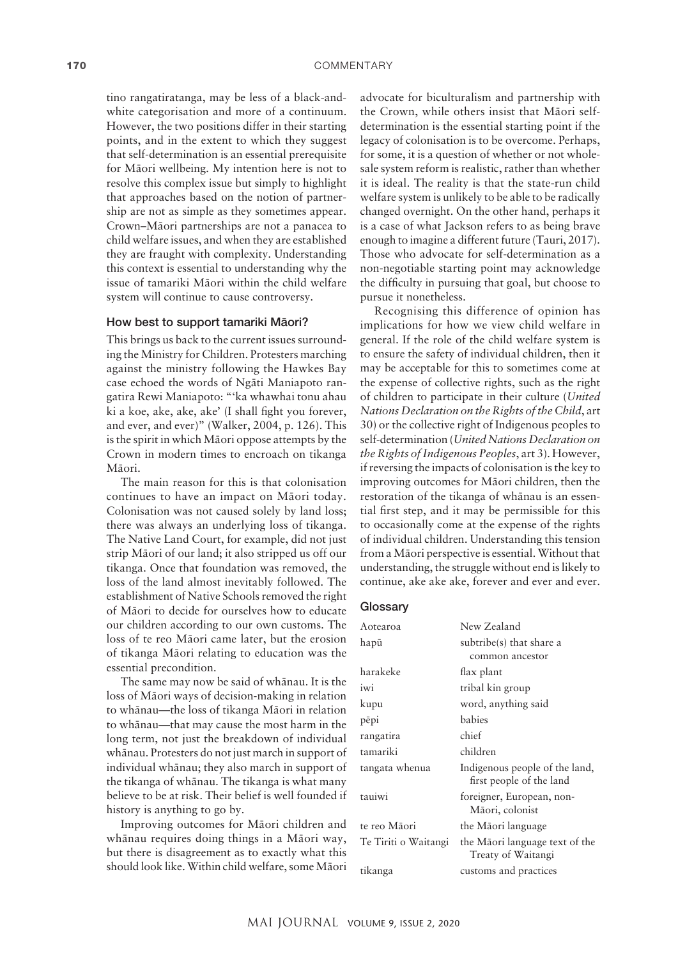tino rangatiratanga, may be less of a black-andwhite categorisation and more of a continuum. However, the two positions differ in their starting points, and in the extent to which they suggest that self-determination is an essential prerequisite for Mäori wellbeing. My intention here is not to resolve this complex issue but simply to highlight that approaches based on the notion of partnership are not as simple as they sometimes appear. Crown–Mäori partnerships are not a panacea to child welfare issues, and when they are established they are fraught with complexity. Understanding this context is essential to understanding why the issue of tamariki Mäori within the child welfare system will continue to cause controversy.

### How best to support tamariki Mäori?

This brings us back to the current issues surrounding the Ministry for Children. Protesters marching against the ministry following the Hawkes Bay case echoed the words of Ngäti Maniapoto rangatira Rewi Maniapoto: "'ka whawhai tonu ahau ki a koe, ake, ake, ake' (I shall fight you forever, and ever, and ever)" (Walker, 2004, p. 126). This is the spirit in which Mäori oppose attempts by the Crown in modern times to encroach on tikanga Mäori.

The main reason for this is that colonisation continues to have an impact on Mäori today. Colonisation was not caused solely by land loss; there was always an underlying loss of tikanga. The Native Land Court, for example, did not just strip Mäori of our land; it also stripped us off our tikanga. Once that foundation was removed, the loss of the land almost inevitably followed. The establishment of Native Schools removed the right of Mäori to decide for ourselves how to educate our children according to our own customs. The loss of te reo Mäori came later, but the erosion of tikanga Mäori relating to education was the essential precondition.

The same may now be said of whänau. It is the loss of Mäori ways of decision-making in relation to whänau—the loss of tikanga Mäori in relation to whänau—that may cause the most harm in the long term, not just the breakdown of individual whänau. Protesters do not just march in support of individual whänau; they also march in support of the tikanga of whänau. The tikanga is what many believe to be at risk. Their belief is well founded if history is anything to go by.

Improving outcomes for Mäori children and whänau requires doing things in a Mäori way, but there is disagreement as to exactly what this should look like. Within child welfare, some Mäori

advocate for biculturalism and partnership with the Crown, while others insist that Mäori selfdetermination is the essential starting point if the legacy of colonisation is to be overcome. Perhaps, for some, it is a question of whether or not wholesale system reform is realistic, rather than whether it is ideal. The reality is that the state-run child welfare system is unlikely to be able to be radically changed overnight. On the other hand, perhaps it is a case of what Jackson refers to as being brave enough to imagine a different future (Tauri, 2017). Those who advocate for self-determination as a non-negotiable starting point may acknowledge the difficulty in pursuing that goal, but choose to pursue it nonetheless.

Recognising this difference of opinion has implications for how we view child welfare in general. If the role of the child welfare system is to ensure the safety of individual children, then it may be acceptable for this to sometimes come at the expense of collective rights, such as the right of children to participate in their culture (*United Nations Declaration on the Rights of the Child*, art 30) or the collective right of Indigenous peoples to self-determination (*United Nations Declaration on the Rights of Indigenous Peoples*, art 3). However, if reversing the impacts of colonisation is the key to improving outcomes for Mäori children, then the restoration of the tikanga of whänau is an essential first step, and it may be permissible for this to occasionally come at the expense of the rights of individual children. Understanding this tension from a Mäori perspective is essential. Without that understanding, the struggle without end is likely to continue, ake ake ake, forever and ever and ever.

# **Glossary**

| Aotearoa             | New Zealand                                                |
|----------------------|------------------------------------------------------------|
| hapū                 | subtribe(s) that share a<br>common ancestor                |
| harakeke             | flax plant                                                 |
| iwi                  | tribal kin group                                           |
| kupu                 | word, anything said                                        |
| pēpi                 | babies                                                     |
| rangatira            | chief                                                      |
| tamariki             | children                                                   |
| tangata whenua       | Indigenous people of the land,<br>first people of the land |
| tauiwi               | foreigner, European, non-<br>Māori, colonist               |
| te reo Māori         | the Māori language                                         |
| Te Tiriti o Waitangi | the Māori language text of the<br>Treaty of Waitangi       |
| tikanga              | customs and practices                                      |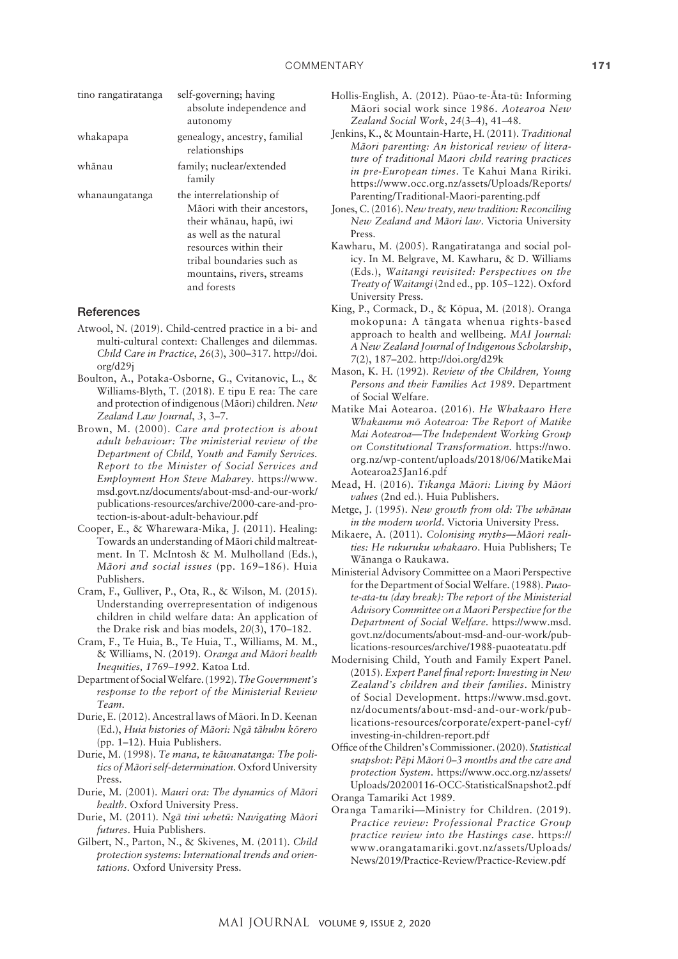| tino rangatiratanga | self-governing; having<br>absolute independence and<br>autonomy                                                                                                                                                  |
|---------------------|------------------------------------------------------------------------------------------------------------------------------------------------------------------------------------------------------------------|
| whakapapa           | genealogy, ancestry, familial<br>relationships                                                                                                                                                                   |
| whānau              | family; nuclear/extended<br>family                                                                                                                                                                               |
| whanaungatanga      | the interrelationship of<br>Māori with their ancestors,<br>their whānau, hapū, iwi<br>as well as the natural<br>resources within their<br>tribal boundaries such as<br>mountains, rivers, streams<br>and forests |

#### **References**

- Atwool, N. (2019). Child-centred practice in a bi- and multi-cultural context: Challenges and dilemmas. *Child Care in Practice*, *26*(3), 300–317. [http://doi.](http://doi.org/d29j) [org/d29j](http://doi.org/d29j)
- Boulton, A., Potaka-Osborne, G., Cvitanovic, L., & Williams-Blyth, T. (2018). E tipu E rea: The care and protection of indigenous (Mäori) children. *New Zealand Law Journal*, *3*, 3–7.
- Brown, M. (2000). *Care and protection is about adult behaviour: The ministerial review of the Department of Child, Youth and Family Services. Report to the Minister of Social Services and Employment Hon Steve Maharey*. [https://www.](https://www.msd.govt.nz/documents/about-msd-and-our-work/publications-resources/archive/2000-care-and-protection-is-about-adult-behaviour.pdf) [msd.govt.nz/documents/about-msd-and-our-work/](https://www.msd.govt.nz/documents/about-msd-and-our-work/publications-resources/archive/2000-care-and-protection-is-about-adult-behaviour.pdf) [publications-resources/archive/2000-care-and-pro](https://www.msd.govt.nz/documents/about-msd-and-our-work/publications-resources/archive/2000-care-and-protection-is-about-adult-behaviour.pdf)[tection-is-about-adult-behaviour.pdf](https://www.msd.govt.nz/documents/about-msd-and-our-work/publications-resources/archive/2000-care-and-protection-is-about-adult-behaviour.pdf)
- Cooper, E., & Wharewara-Mika, J. (2011). Healing: Towards an understanding of Mäori child maltreatment. In T. McIntosh & M. Mulholland (Eds.), *Mäori and social issues* (pp. 169–186). Huia Publishers.
- Cram, F., Gulliver, P., Ota, R., & Wilson, M. (2015). Understanding overrepresentation of indigenous children in child welfare data: An application of the Drake risk and bias models, *20*(3), 170–182.
- Cram, F., Te Huia, B., Te Huia, T., Williams, M. M., & Williams, N. (2019). *Oranga and Mäori health Inequities, 1769–1992*. Katoa Ltd.
- Department of Social Welfare. (1992). *The Government's response to the report of the Ministerial Review Team*.
- Durie, E. (2012). Ancestral laws of Mäori. In D. Keenan (Ed.), *Huia histories of Mäori: Ngä tähuhu körero* (pp. 1–12). Huia Publishers.
- Durie, M. (1998). *Te mana, te käwanatanga: The politics of Mäori self-determination*. Oxford University Press.
- Durie, M. (2001). *Mauri ora: The dynamics of Mäori health*. Oxford University Press.
- Durie, M. (2011). *Ngä tini whetü: Navigating Mäori futures*. Huia Publishers.
- Gilbert, N., Parton, N., & Skivenes, M. (2011). *Child protection systems: International trends and orientations*. Oxford University Press.
- Hollis-English, A. (2012). Püao-te-Äta-tü: Informing Mäori social work since 1986. *Aotearoa New Zealand Social Work*, *24*(3–4), 41–48.
- Jenkins, K., & Mountain-Harte, H. (2011). *Traditional Mäori parenting: An historical review of literature of traditional Maori child rearing practices in pre-European times*. Te Kahui Mana Ririki. [https://www.occ.org.nz/assets/Uploads/Reports/](https://www.occ.org.nz/assets/Uploads/Reports/Parenting/Traditional-Maori-parenting.pdf) [Parenting/Traditional-Maori-parenting.pdf](https://www.occ.org.nz/assets/Uploads/Reports/Parenting/Traditional-Maori-parenting.pdf)
- Jones, C. (2016). *New treaty, new tradition: Reconciling New Zealand and Mäori law*. Victoria University Press.
- Kawharu, M. (2005). Rangatiratanga and social policy. In M. Belgrave, M. Kawharu, & D. Williams (Eds.), *Waitangi revisited: Perspectives on the Treaty of Waitangi* (2nd ed., pp. 105–122). Oxford University Press.
- King, P., Cormack, D., & Köpua, M. (2018). Oranga mokopuna: A tängata whenua rights-based approach to health and wellbeing. *MAI Journal: A New Zealand Journal of Indigenous Scholarship*, *7*(2), 187–202.<http://doi.org/d29k>
- Mason, K. H. (1992). *Review of the Children, Young Persons and their Families Act 1989*. Department of Social Welfare.
- Matike Mai Aotearoa. (2016). *He Whakaaro Here Whakaumu mö Aotearoa: The Report of Matike Mai Aotearoa—The Independent Working Group on Constitutional Transformation.* [https://nwo.](https://nwo.org.nz/wp-content/uploads/2018/06/MatikeMaiAotearoa25Jan16.pdf) [org.nz/wp-content/uploads/2018/06/MatikeMai](https://nwo.org.nz/wp-content/uploads/2018/06/MatikeMaiAotearoa25Jan16.pdf) [Aotearoa25Jan16.pdf](https://nwo.org.nz/wp-content/uploads/2018/06/MatikeMaiAotearoa25Jan16.pdf)
- Mead, H. (2016). *Tikanga Mäori: Living by Mäori values* (2nd ed.). Huia Publishers.
- Metge, J. (1995). *New growth from old: The whänau in the modern world*. Victoria University Press.
- Mikaere, A. (2011). *Colonising myths—Mäori realities: He rukuruku whakaaro*. Huia Publishers; Te Wänanga o Raukawa.
- Ministerial Advisory Committee on a Maori Perspective for the Department of Social Welfare. (1988). *Puaote-ata-tu (day break): The report of the Ministerial Advisory Committee on a Maori Perspective for the Department of Social Welfare*. [https://www.msd.](https://www.msd.govt.nz/documents/about-msd-and-our-work/publications-resources/archive/1988-puaoteatatu.pdf) [govt.nz/documents/about-msd-and-our-work/pub](https://www.msd.govt.nz/documents/about-msd-and-our-work/publications-resources/archive/1988-puaoteatatu.pdf)[lications-resources/archive/1988-puaoteatatu.pdf](https://www.msd.govt.nz/documents/about-msd-and-our-work/publications-resources/archive/1988-puaoteatatu.pdf)
- Modernising Child, Youth and Family Expert Panel. (2015). *Expert Panel final report: Investing in New Zealand's children and their families*. Ministry of Social Development. [https://www.msd.govt.](https://www.msd.govt.nz/documents/about-msd-and-our-work/publications-resources/corporate/expert-panel-cyf/investing-in-children-report.pdf) [nz/documents/about-msd-and-our-work/pub](https://www.msd.govt.nz/documents/about-msd-and-our-work/publications-resources/corporate/expert-panel-cyf/investing-in-children-report.pdf)[lications-resources/corporate/expert-panel-cyf/](https://www.msd.govt.nz/documents/about-msd-and-our-work/publications-resources/corporate/expert-panel-cyf/investing-in-children-report.pdf) [investing-in-children-report.pdf](https://www.msd.govt.nz/documents/about-msd-and-our-work/publications-resources/corporate/expert-panel-cyf/investing-in-children-report.pdf)
- Office of the Children's Commissioner. (2020). *Statistical snapshot: Pëpi Mäori 0–3 months and the care and protection System*. [https://www.occ.org.nz/assets/](https://www.occ.org.nz/assets/Uploads/20200116-OCC-StatisticalSnapshot2.pdf) [Uploads/20200116-OCC-StatisticalSnapshot2.pdf](https://www.occ.org.nz/assets/Uploads/20200116-OCC-StatisticalSnapshot2.pdf) Oranga Tamariki Act 1989.
- Oranga Tamariki—Ministry for Children. (2019). *Practice review: Professional Practice Group practice review into the Hastings case*. [https://](https://www.orangatamariki.govt.nz/assets/Uploads/News/2019/Practice-Review/Practice-Review.pdf) [www.orangatamariki.govt.nz/assets/Uploads/](https://www.orangatamariki.govt.nz/assets/Uploads/News/2019/Practice-Review/Practice-Review.pdf) [News/2019/Practice-Review/Practice-Review.pdf](https://www.orangatamariki.govt.nz/assets/Uploads/News/2019/Practice-Review/Practice-Review.pdf)